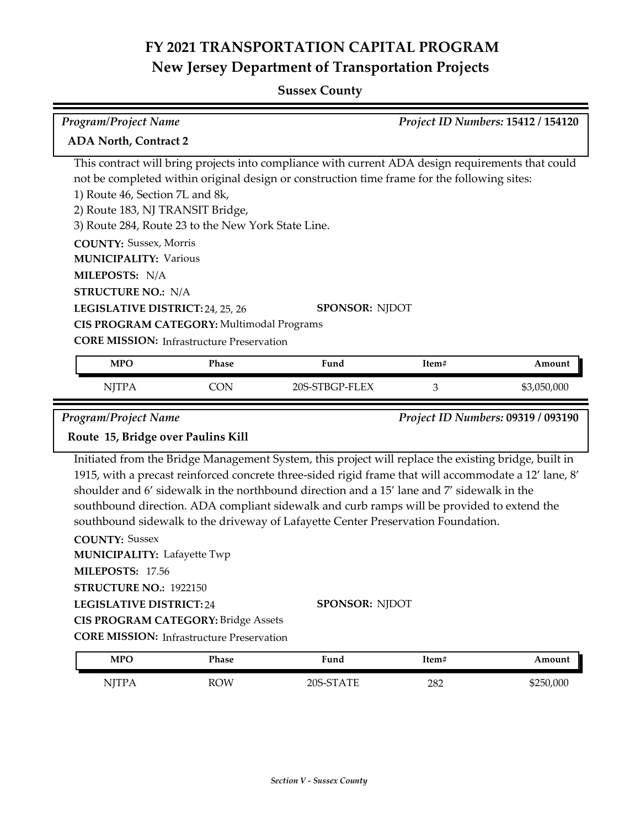# **FY 2021 TRANSPORTATION CAPITAL PROGRAM New Jersey Department of Transportation Projects**

## **Sussex County**

| <b>Program/Project Name</b>                                                                                                                                                                                                     | Project ID Numbers: 15412 / 154120                                                                                                                  |                                                                                                                                                                                                                                                                                                                                                                                                           |       |                                    |
|---------------------------------------------------------------------------------------------------------------------------------------------------------------------------------------------------------------------------------|-----------------------------------------------------------------------------------------------------------------------------------------------------|-----------------------------------------------------------------------------------------------------------------------------------------------------------------------------------------------------------------------------------------------------------------------------------------------------------------------------------------------------------------------------------------------------------|-------|------------------------------------|
| <b>ADA North, Contract 2</b>                                                                                                                                                                                                    |                                                                                                                                                     |                                                                                                                                                                                                                                                                                                                                                                                                           |       |                                    |
| 1) Route 46, Section 7L and 8k,<br>2) Route 183, NJ TRANSIT Bridge,<br><b>COUNTY: Sussex, Morris</b><br><b>MUNICIPALITY: Various</b><br>MILEPOSTS: N/A<br><b>STRUCTURE NO.: N/A</b><br>LEGISLATIVE DISTRICT: 24, 25, 26         | 3) Route 284, Route 23 to the New York State Line.<br>CIS PROGRAM CATEGORY: Multimodal Programs<br><b>CORE MISSION:</b> Infrastructure Preservation | This contract will bring projects into compliance with current ADA design requirements that could<br>not be completed within original design or construction time frame for the following sites:<br><b>SPONSOR: NJDOT</b>                                                                                                                                                                                 |       |                                    |
| <b>MPO</b>                                                                                                                                                                                                                      | Phase                                                                                                                                               | Fund                                                                                                                                                                                                                                                                                                                                                                                                      | Item# | Amount                             |
| <b>NJTPA</b>                                                                                                                                                                                                                    | <b>CON</b>                                                                                                                                          | 20S-STBGP-FLEX                                                                                                                                                                                                                                                                                                                                                                                            | 3     | \$3,050,000                        |
| <b>Program/Project Name</b><br>Route 15, Bridge over Paulins Kill                                                                                                                                                               |                                                                                                                                                     |                                                                                                                                                                                                                                                                                                                                                                                                           |       | Project ID Numbers: 09319 / 093190 |
|                                                                                                                                                                                                                                 |                                                                                                                                                     | Initiated from the Bridge Management System, this project will replace the existing bridge, built in<br>1915, with a precast reinforced concrete three-sided rigid frame that will accommodate a 12' lane, 8'<br>shoulder and 6' sidewalk in the northbound direction and a 15' lane and 7' sidewalk in the<br>southbound direction. ADA compliant sidewalk and curb ramps will be provided to extend the |       |                                    |
| southbound sidewalk to the driveway of Lafayette Center Preservation Foundation.<br><b>COUNTY: Sussex</b><br><b>MUNICIPALITY: Lafayette Twp</b><br>MILEPOSTS: 17.56<br>STRUCTURE NO.: 1922150<br><b>LEGISLATIVE DISTRICT:24</b> | <b>CIS PROGRAM CATEGORY: Bridge Assets</b><br><b>CORE MISSION: Infrastructure Preservation</b>                                                      | <b>SPONSOR: NJDOT</b>                                                                                                                                                                                                                                                                                                                                                                                     |       |                                    |
| <b>MPO</b>                                                                                                                                                                                                                      | <b>Phase</b>                                                                                                                                        | Fund                                                                                                                                                                                                                                                                                                                                                                                                      | Item# | Amount                             |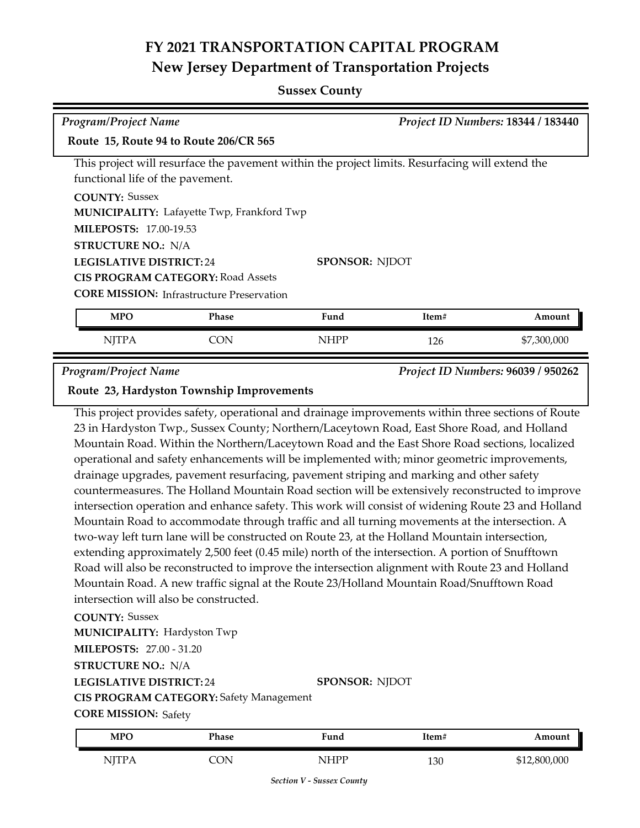## **FY 2021 TRANSPORTATION CAPITAL PROGRAM New Jersey Department of Transportation Projects**

#### **Sussex County**

| <b>Program/Project Name</b>                                                           |                                                   |                                                                                                 |       | Project ID Numbers: 18344 / 183440 |
|---------------------------------------------------------------------------------------|---------------------------------------------------|-------------------------------------------------------------------------------------------------|-------|------------------------------------|
| Route 15, Route 94 to Route 206/CR 565                                                |                                                   |                                                                                                 |       |                                    |
| functional life of the pavement.                                                      |                                                   | This project will resurface the pavement within the project limits. Resurfacing will extend the |       |                                    |
| <b>COUNTY: Sussex</b>                                                                 | <b>MUNICIPALITY:</b> Lafayette Twp, Frankford Twp |                                                                                                 |       |                                    |
| <b>MILEPOSTS: 17.00-19.53</b>                                                         |                                                   |                                                                                                 |       |                                    |
| <b>STRUCTURE NO.: N/A</b><br><b>LEGISLATIVE DISTRICT: 24</b><br><b>SPONSOR: NJDOT</b> |                                                   |                                                                                                 |       |                                    |
|                                                                                       | <b>CIS PROGRAM CATEGORY: Road Assets</b>          |                                                                                                 |       |                                    |
|                                                                                       | <b>CORE MISSION:</b> Infrastructure Preservation  |                                                                                                 |       |                                    |
| <b>MPO</b>                                                                            | <b>Phase</b>                                      | Fund                                                                                            | Item# | Amount                             |
| <b>NJTPA</b>                                                                          | <b>CON</b>                                        | <b>NHPP</b>                                                                                     | 126   | \$7,300,000                        |

*Program/Project Name Project ID Numbers:* **96039 / 950262**

#### **Route 23, Hardyston Township Improvements**

This project provides safety, operational and drainage improvements within three sections of Route 23 in Hardyston Twp., Sussex County; Northern/Laceytown Road, East Shore Road, and Holland Mountain Road. Within the Northern/Laceytown Road and the East Shore Road sections, localized operational and safety enhancements will be implemented with; minor geometric improvements, drainage upgrades, pavement resurfacing, pavement striping and marking and other safety countermeasures. The Holland Mountain Road section will be extensively reconstructed to improve intersection operation and enhance safety. This work will consist of widening Route 23 and Holland Mountain Road to accommodate through traffic and all turning movements at the intersection. A two-way left turn lane will be constructed on Route 23, at the Holland Mountain intersection, extending approximately 2,500 feet (0.45 mile) north of the intersection. A portion of Snufftown Road will also be reconstructed to improve the intersection alignment with Route 23 and Holland Mountain Road. A new traffic signal at the Route 23/Holland Mountain Road/Snufftown Road intersection will also be constructed.

**COUNTY:** Sussex **MUNICIPALITY: Hardyston Twp** 

**MILEPOSTS:** 27.00 - 31.20

**STRUCTURE NO.:** N/A

**LEGISLATIVE DISTRICT:** 24

**CIS PROGRAM CATEGORY:** Safety Management

**CORE MISSION: Safety** 

| <b>MPO</b> | Phase | Fund | Item# | Amount       |
|------------|-------|------|-------|--------------|
| NJTPA      | `ON   | JHPP | 130   | \$12,800,000 |

**SPONSOR:** NJDOT